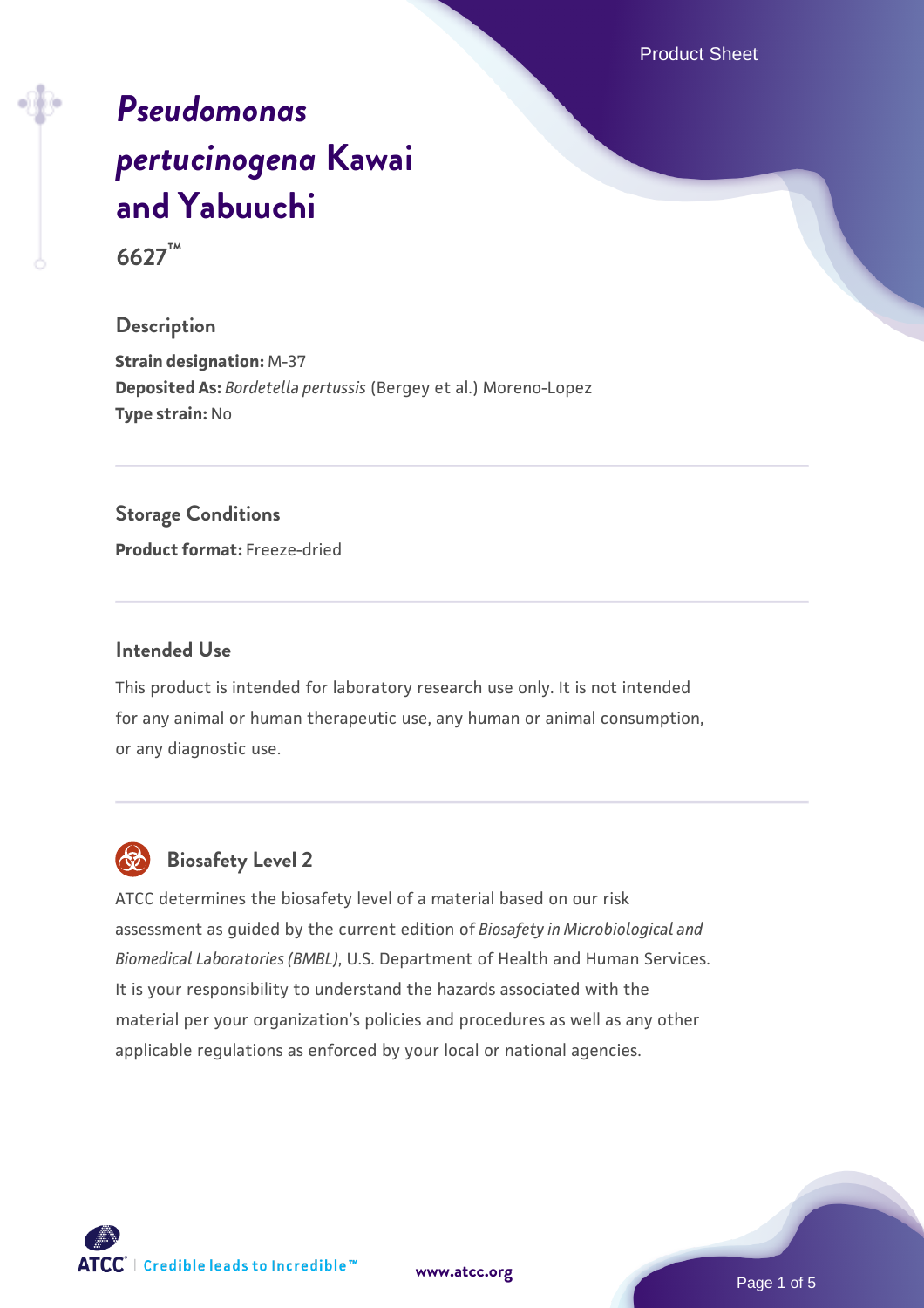Product Sheet

# *[Pseudomonas](https://www.atcc.org/products/6627) [pertucinogena](https://www.atcc.org/products/6627)* **[Kawai](https://www.atcc.org/products/6627) [and Yabuuchi](https://www.atcc.org/products/6627)**

**6627™**

#### **Description**

**Strain designation:** M-37 **Deposited As:** *Bordetella pertussis* (Bergey et al.) Moreno-Lopez **Type strain:** No

#### **Storage Conditions**

**Product format:** Freeze-dried

#### **Intended Use**

This product is intended for laboratory research use only. It is not intended for any animal or human therapeutic use, any human or animal consumption, or any diagnostic use.



# **Biosafety Level 2**

ATCC determines the biosafety level of a material based on our risk assessment as guided by the current edition of *Biosafety in Microbiological and Biomedical Laboratories (BMBL)*, U.S. Department of Health and Human Services. It is your responsibility to understand the hazards associated with the material per your organization's policies and procedures as well as any other applicable regulations as enforced by your local or national agencies.

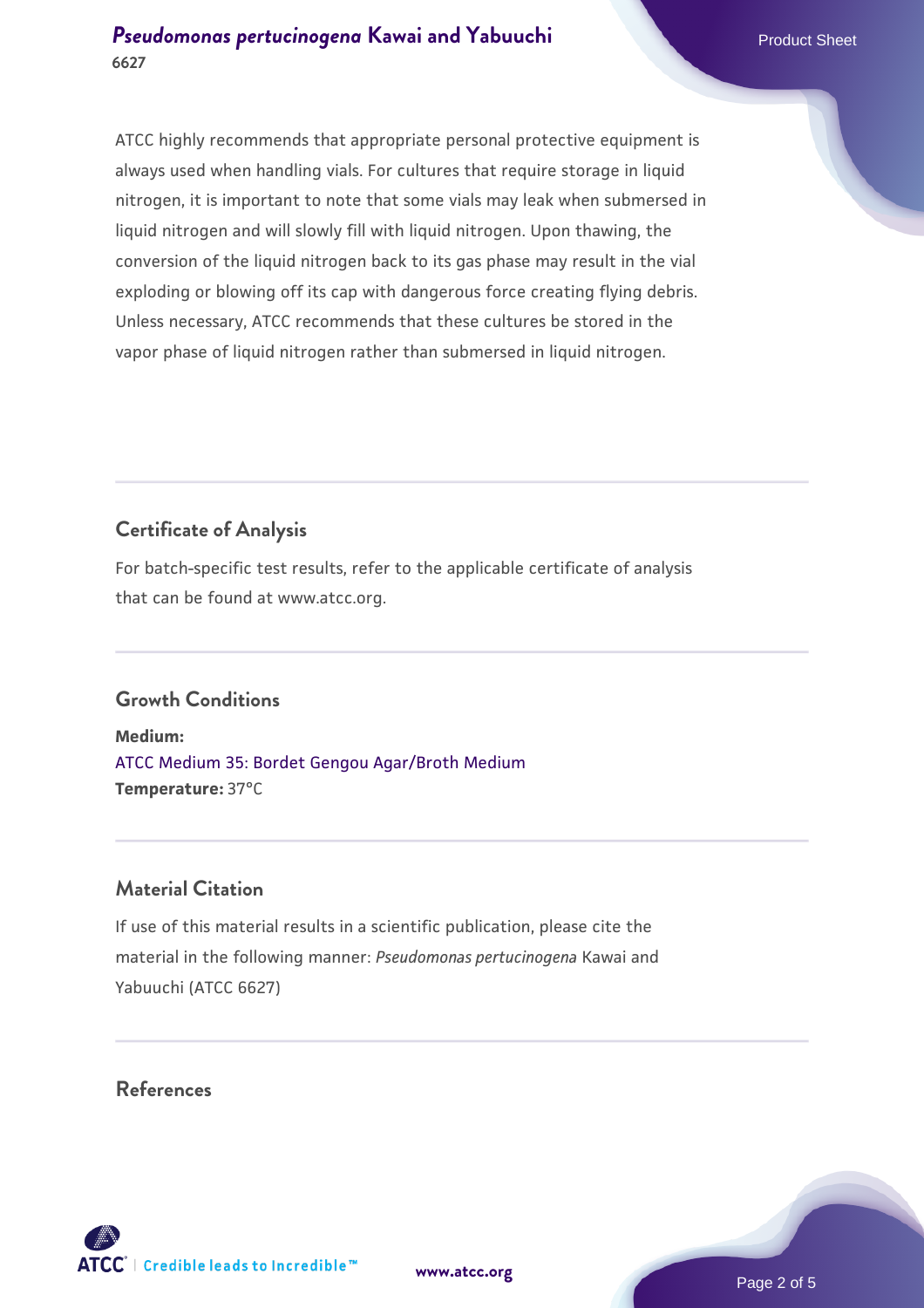ATCC highly recommends that appropriate personal protective equipment is always used when handling vials. For cultures that require storage in liquid nitrogen, it is important to note that some vials may leak when submersed in liquid nitrogen and will slowly fill with liquid nitrogen. Upon thawing, the conversion of the liquid nitrogen back to its gas phase may result in the vial exploding or blowing off its cap with dangerous force creating flying debris. Unless necessary, ATCC recommends that these cultures be stored in the vapor phase of liquid nitrogen rather than submersed in liquid nitrogen.

# **Certificate of Analysis**

For batch-specific test results, refer to the applicable certificate of analysis that can be found at www.atcc.org.

## **Growth Conditions**

**Medium:**  [ATCC Medium 35: Bordet Gengou Agar/Broth Medium](https://www.atcc.org/-/media/product-assets/documents/microbial-media-formulations/3/5/atcc-medium-35.pdf?rev=d0fbba270c00451aa35c61e155602643) **Temperature:** 37°C

## **Material Citation**

If use of this material results in a scientific publication, please cite the material in the following manner: *Pseudomonas pertucinogena* Kawai and Yabuuchi (ATCC 6627)

#### **References**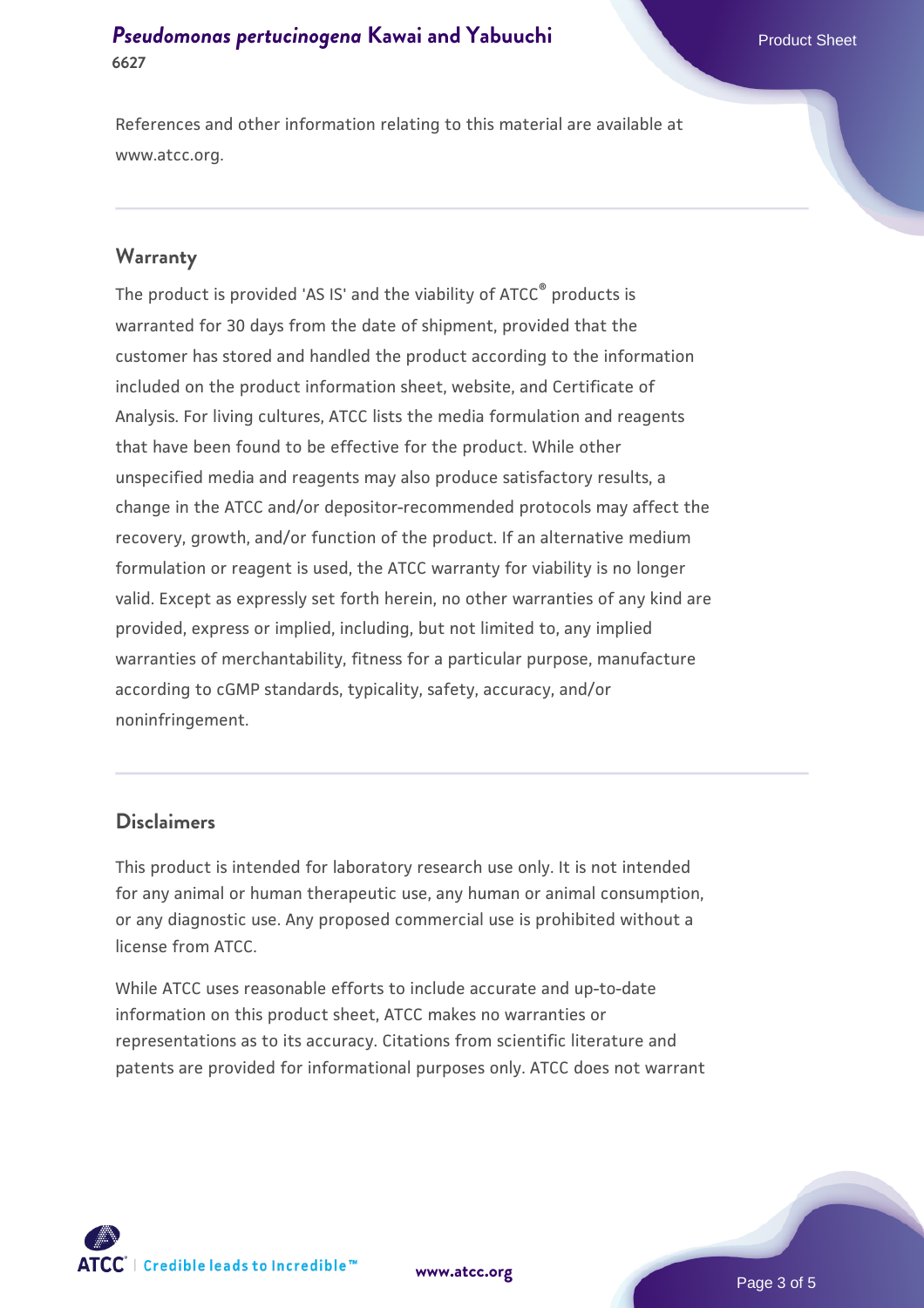References and other information relating to this material are available at www.atcc.org.

#### **Warranty**

The product is provided 'AS IS' and the viability of ATCC® products is warranted for 30 days from the date of shipment, provided that the customer has stored and handled the product according to the information included on the product information sheet, website, and Certificate of Analysis. For living cultures, ATCC lists the media formulation and reagents that have been found to be effective for the product. While other unspecified media and reagents may also produce satisfactory results, a change in the ATCC and/or depositor-recommended protocols may affect the recovery, growth, and/or function of the product. If an alternative medium formulation or reagent is used, the ATCC warranty for viability is no longer valid. Except as expressly set forth herein, no other warranties of any kind are provided, express or implied, including, but not limited to, any implied warranties of merchantability, fitness for a particular purpose, manufacture according to cGMP standards, typicality, safety, accuracy, and/or noninfringement.

#### **Disclaimers**

This product is intended for laboratory research use only. It is not intended for any animal or human therapeutic use, any human or animal consumption, or any diagnostic use. Any proposed commercial use is prohibited without a license from ATCC.

While ATCC uses reasonable efforts to include accurate and up-to-date information on this product sheet, ATCC makes no warranties or representations as to its accuracy. Citations from scientific literature and patents are provided for informational purposes only. ATCC does not warrant



**[www.atcc.org](http://www.atcc.org)**

Page 3 of 5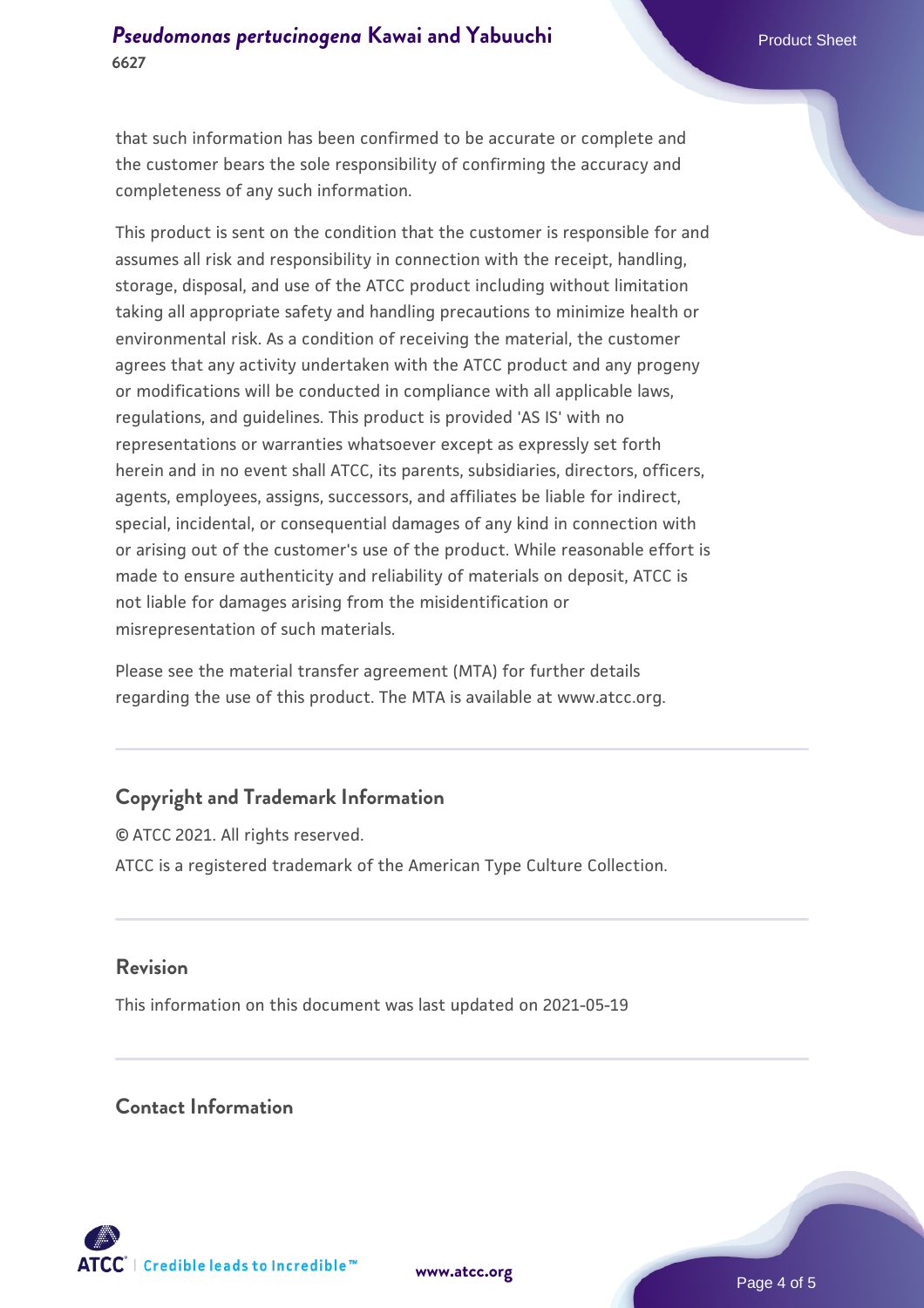that such information has been confirmed to be accurate or complete and the customer bears the sole responsibility of confirming the accuracy and completeness of any such information.

This product is sent on the condition that the customer is responsible for and assumes all risk and responsibility in connection with the receipt, handling, storage, disposal, and use of the ATCC product including without limitation taking all appropriate safety and handling precautions to minimize health or environmental risk. As a condition of receiving the material, the customer agrees that any activity undertaken with the ATCC product and any progeny or modifications will be conducted in compliance with all applicable laws, regulations, and guidelines. This product is provided 'AS IS' with no representations or warranties whatsoever except as expressly set forth herein and in no event shall ATCC, its parents, subsidiaries, directors, officers, agents, employees, assigns, successors, and affiliates be liable for indirect, special, incidental, or consequential damages of any kind in connection with or arising out of the customer's use of the product. While reasonable effort is made to ensure authenticity and reliability of materials on deposit, ATCC is not liable for damages arising from the misidentification or misrepresentation of such materials.

Please see the material transfer agreement (MTA) for further details regarding the use of this product. The MTA is available at www.atcc.org.

## **Copyright and Trademark Information**

© ATCC 2021. All rights reserved. ATCC is a registered trademark of the American Type Culture Collection.

#### **Revision**

This information on this document was last updated on 2021-05-19

#### **Contact Information**



**[www.atcc.org](http://www.atcc.org)**